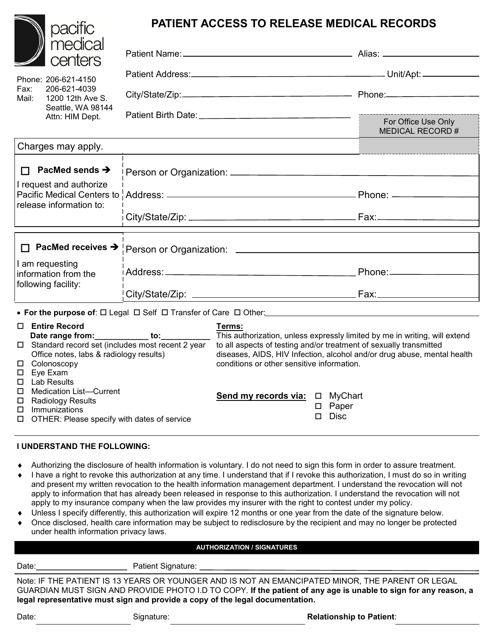| pacific                                                                                                                 |  | <b>PATIENT ACCESS TO RELEASE MEDICAL RECORDS</b>                                                                                                                                                                                                                                                                                                                |                                         |
|-------------------------------------------------------------------------------------------------------------------------|--|-----------------------------------------------------------------------------------------------------------------------------------------------------------------------------------------------------------------------------------------------------------------------------------------------------------------------------------------------------------------|-----------------------------------------|
| medical<br>centers                                                                                                      |  |                                                                                                                                                                                                                                                                                                                                                                 |                                         |
| Phone: 206-621-4150<br>Fax:<br>206-621-4039<br>Mail:<br>1200 12th Ave S.<br>Seattle, WA 98144<br>Attn: HIM Dept.        |  |                                                                                                                                                                                                                                                                                                                                                                 |                                         |
|                                                                                                                         |  |                                                                                                                                                                                                                                                                                                                                                                 |                                         |
|                                                                                                                         |  |                                                                                                                                                                                                                                                                                                                                                                 | For Office Use Only<br>MEDICAL RECORD # |
| Charges may apply.                                                                                                      |  |                                                                                                                                                                                                                                                                                                                                                                 |                                         |
| $\Box$ PacMed sends $\rightarrow$                                                                                       |  |                                                                                                                                                                                                                                                                                                                                                                 |                                         |
| I request and authorize<br>Pacific Medical Centers to !                                                                 |  |                                                                                                                                                                                                                                                                                                                                                                 |                                         |
| release information to:                                                                                                 |  |                                                                                                                                                                                                                                                                                                                                                                 |                                         |
| $\Box$ PacMed receives $\rightarrow$                                                                                    |  |                                                                                                                                                                                                                                                                                                                                                                 |                                         |
| I am requesting<br>information from the<br>following facility:                                                          |  |                                                                                                                                                                                                                                                                                                                                                                 |                                         |
|                                                                                                                         |  |                                                                                                                                                                                                                                                                                                                                                                 |                                         |
|                                                                                                                         |  |                                                                                                                                                                                                                                                                                                                                                                 |                                         |
| □ Entire Record<br>Office notes, labs & radiology results)<br>□ Colonoscopy<br>$\square$ Eye Exam<br><b>Lab Results</b> |  | Terms:<br>Date range from: to: to: This authorization, unless expressly limited by me in writing, will extend<br>□ Standard record set (includes most recent 2 year to all aspects of testing and/or treatment of sexually transmitted<br>diseases, AIDS, HIV Infection, alcohol and/or drug abuse, mental health<br>conditions or other sensitive information. |                                         |
| <b>Medication List-Current</b>                                                                                          |  | Send my records via: □ MyChart                                                                                                                                                                                                                                                                                                                                  |                                         |

 Immunizations OTHER: Please specify with dates of service

## **I UNDERSTAND THE FOLLOWING:**

□ Radiology Results

- Authorizing the disclosure of health information is voluntary. I do not need to sign this form in order to assure treatment.
- I have a right to revoke this authorization at any time. I understand that if I revoke this authorization, I must do so in writing and present my written revocation to the health information management department. I understand the revocation will not apply to information that has already been released in response to this authorization. I understand the revocation will not apply to my insurance company when the law provides my insurer with the right to contest under my policy.
- Unless I specify differently, this authorization will expire 12 months or one year from the date of the signature below.
- Once disclosed, health care information may be subject to redisclosure by the recipient and may no longer be protected under health information privacy laws.

## **AUTHORIZATION / SIGNATURES**

| Date: | Patient Signature:                                                               |
|-------|----------------------------------------------------------------------------------|
|       | Note: IF THE PATIENT IS 13 YEARS OR YOUNGER AND IS NOT AN EMANCIPATED MINOR.     |
|       | GUARDIAN MUST SIGN AND PROVIDE PHOTO LD TO COPY If the patient of any age is una |

THE PARENT OR LEGAL able to sign for any reason, a **legal representative must sign and provide a copy of the legal documentation.**

| . .<br>×<br>v<br>×<br>× |
|-------------------------|
|-------------------------|

□ Paper  $\square$  Disc